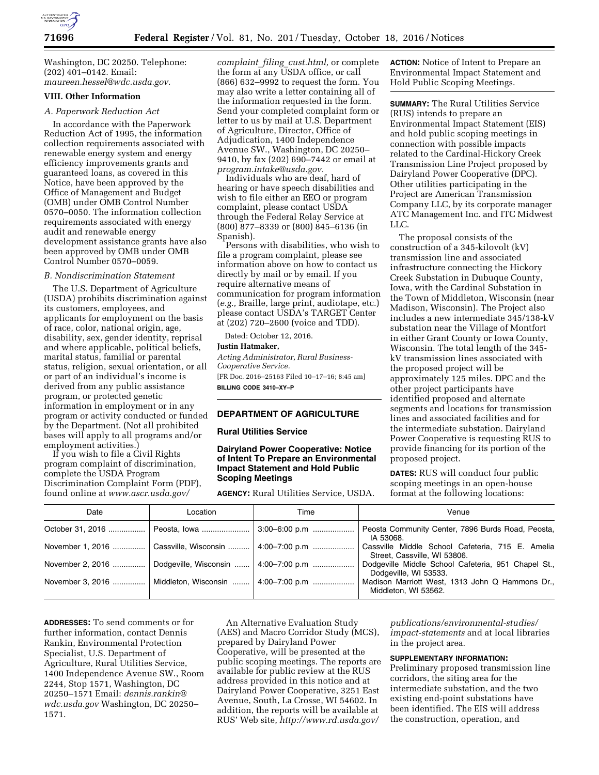

Washington, DC 20250. Telephone: (202) 401–0142. Email: *[maureen.hessel@wdc.usda.gov.](mailto:maureen.hessel@wdc.usda.gov)* 

## **VIII. Other Information**

### *A. Paperwork Reduction Act*

In accordance with the Paperwork Reduction Act of 1995, the information collection requirements associated with renewable energy system and energy efficiency improvements grants and guaranteed loans, as covered in this Notice, have been approved by the Office of Management and Budget (OMB) under OMB Control Number 0570–0050. The information collection requirements associated with energy audit and renewable energy development assistance grants have also been approved by OMB under OMB Control Number 0570–0059.

### *B. Nondiscrimination Statement*

The U.S. Department of Agriculture (USDA) prohibits discrimination against its customers, employees, and applicants for employment on the basis of race, color, national origin, age, disability, sex, gender identity, reprisal and where applicable, political beliefs, marital status, familial or parental status, religion, sexual orientation, or all or part of an individual's income is derived from any public assistance program, or protected genetic information in employment or in any program or activity conducted or funded by the Department. (Not all prohibited bases will apply to all programs and/or employment activities.)

If you wish to file a Civil Rights program complaint of discrimination, complete the USDA Program Discrimination Complaint Form (PDF), found online at *[www.ascr.usda.gov/](http://www.ascr.usda.gov/complaint_filing_cust.html)* 

*[complaint](http://www.ascr.usda.gov/complaint_filing_cust.html)*\_*filing*\_*cust.html,* or complete the form at any USDA office, or call (866) 632–9992 to request the form. You may also write a letter containing all of the information requested in the form. Send your completed complaint form or letter to us by mail at U.S. Department of Agriculture, Director, Office of Adjudication, 1400 Independence Avenue SW., Washington, DC 20250– 9410, by fax (202) 690–7442 or email at *[program.intake@usda.gov.](mailto:program.intake@usda.gov)* 

Individuals who are deaf, hard of hearing or have speech disabilities and wish to file either an EEO or program complaint, please contact USDA through the Federal Relay Service at (800) 877–8339 or (800) 845–6136 (in Spanish).

Persons with disabilities, who wish to file a program complaint, please see information above on how to contact us directly by mail or by email. If you require alternative means of communication for program information (*e.g.,* Braille, large print, audiotape, etc.) please contact USDA's TARGET Center at (202) 720–2600 (voice and TDD).

Dated: October 12, 2016.

#### **Justin Hatmaker,**

*Acting Administrator, Rural Business-Cooperative Service.* 

[FR Doc. 2016–25163 Filed 10–17–16; 8:45 am] **BILLING CODE 3410–XY–P** 

## **DEPARTMENT OF AGRICULTURE**

## **Rural Utilities Service**

## **Dairyland Power Cooperative: Notice of Intent To Prepare an Environmental Impact Statement and Hold Public Scoping Meetings**

**AGENCY:** Rural Utilities Service, USDA.

**ACTION:** Notice of Intent to Prepare an Environmental Impact Statement and Hold Public Scoping Meetings.

**SUMMARY:** The Rural Utilities Service (RUS) intends to prepare an Environmental Impact Statement (EIS) and hold public scoping meetings in connection with possible impacts related to the Cardinal-Hickory Creek Transmission Line Project proposed by Dairyland Power Cooperative (DPC). Other utilities participating in the Project are American Transmission Company LLC, by its corporate manager ATC Management Inc. and ITC Midwest LLC.

The proposal consists of the construction of a 345-kilovolt (kV) transmission line and associated infrastructure connecting the Hickory Creek Substation in Dubuque County, Iowa, with the Cardinal Substation in the Town of Middleton, Wisconsin (near Madison, Wisconsin). The Project also includes a new intermediate 345/138-kV substation near the Village of Montfort in either Grant County or Iowa County, Wisconsin. The total length of the 345 kV transmission lines associated with the proposed project will be approximately 125 miles. DPC and the other project participants have identified proposed and alternate segments and locations for transmission lines and associated facilities and for the intermediate substation. Dairyland Power Cooperative is requesting RUS to provide financing for its portion of the proposed project.

**DATES:** RUS will conduct four public scoping meetings in an open-house format at the following locations:

| Date             | Location                               | Time | Venue                                                                            |
|------------------|----------------------------------------|------|----------------------------------------------------------------------------------|
|                  |                                        |      | Peosta Community Center, 7896 Burds Road, Peosta,<br>IA 53068.                   |
| November 1, 2016 | Cassville, Wisconsin    4:00–7:00 p.m  |      | Cassville Middle School Cafeteria, 715 E. Amelia<br>Street, Cassville, WI 53806. |
| November 2, 2016 | Dodgeville, Wisconsin    4:00–7:00 p.m |      | Dodgeville Middle School Cafeteria, 951 Chapel St.,<br>Dodgeville, WI 53533.     |
| November 3, 2016 | Middleton, Wisconsin    4:00–7:00 p.m  |      | Madison Marriott West, 1313 John Q Hammons Dr.,<br>Middleton, WI 53562.          |

**ADDRESSES:** To send comments or for further information, contact Dennis Rankin, Environmental Protection Specialist, U.S. Department of Agriculture, Rural Utilities Service, 1400 Independence Avenue SW., Room 2244, Stop 1571, Washington, DC 20250–1571 Email: *[dennis.rankin@](mailto:dennis.rankin@wdc.usda.gov) [wdc.usda.gov](mailto:dennis.rankin@wdc.usda.gov)* Washington, DC 20250– 1571.

An Alternative Evaluation Study (AES) and Macro Corridor Study (MCS), prepared by Dairyland Power Cooperative, will be presented at the public scoping meetings. The reports are available for public review at the RUS address provided in this notice and at Dairyland Power Cooperative, 3251 East Avenue, South, La Crosse, WI 54602. In addition, the reports will be available at RUS' Web site, *[http://www.rd.usda.gov/](http://www.rd.usda.gov/publications/environmental-studies/impact-statements)* 

*[publications/environmental-studies/](http://www.rd.usda.gov/publications/environmental-studies/impact-statements) [impact-statements](http://www.rd.usda.gov/publications/environmental-studies/impact-statements)* and at local libraries in the project area.

### **SUPPLEMENTARY INFORMATION:**

Preliminary proposed transmission line corridors, the siting area for the intermediate substation, and the two existing end-point substations have been identified. The EIS will address the construction, operation, and